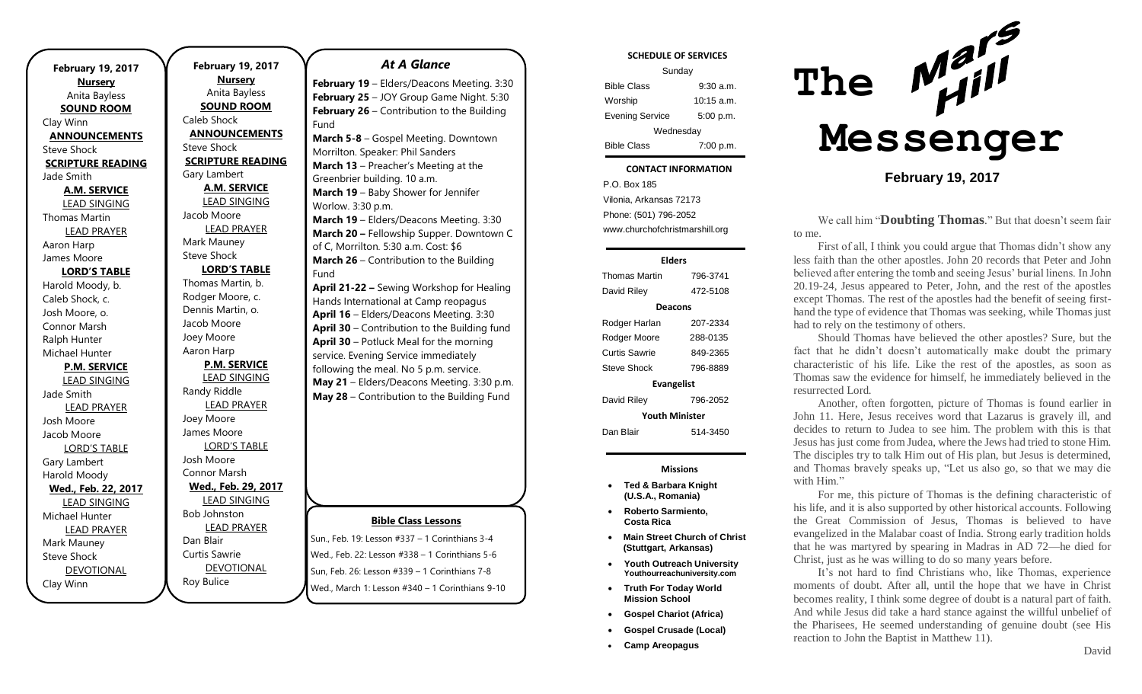| <b>February 19, 2017</b><br><b>Nursery</b> |  |  |
|--------------------------------------------|--|--|
| Anita Bayless                              |  |  |
| <b>SOUND ROOM</b>                          |  |  |
| Clay Winn                                  |  |  |
| <b>ANNOUNCEMENTS</b>                       |  |  |
| <b>Steve Shock</b>                         |  |  |
| <b>SCRIPTURE READING</b>                   |  |  |
| Jade Smith                                 |  |  |
| <b>A.M. SERVICE</b>                        |  |  |
| <b>LEAD SINGING</b>                        |  |  |
| Thomas Martin                              |  |  |
| <b>LEAD PRAYER</b>                         |  |  |
| Aaron Harp                                 |  |  |
| James Moore                                |  |  |
| <b>LORD'S TABLE</b>                        |  |  |
| Harold Moody, b.                           |  |  |
| Caleb Shock, c.                            |  |  |
| Josh Moore, o.                             |  |  |
| Connor Marsh                               |  |  |
| Ralph Hunter                               |  |  |
| Michael Hunter                             |  |  |
| <b>P.M. SERVICE</b>                        |  |  |
| <b>LEAD SINGING</b>                        |  |  |
| Jade Smith                                 |  |  |
| <b>LEAD PRAYER</b>                         |  |  |
| Josh Moore                                 |  |  |
| Jacob Moore                                |  |  |
| <b>LORD'S TABLE</b>                        |  |  |
| Gary Lambert                               |  |  |
| Harold Moody                               |  |  |
| Wed., Feb. 22, 2017                        |  |  |
| <b>LEAD SINGING</b>                        |  |  |
| Michael Hunter                             |  |  |
| <b>LEAD PRAYER</b>                         |  |  |
| Mark Mauney                                |  |  |
| <b>Steve Shock</b>                         |  |  |
| <b>DEVOTIONAL</b>                          |  |  |
| Clay Winn                                  |  |  |

**February 19, 2017 Nursery** Anita Bayless **SOUND ROOM** Caleb Shock **ANNOUNCEMENTS** Steve Shock **SCRIPTURE READING** Gary Lambert **A.M. SERVICE** LEAD SINGING Jacob Moore LEAD PRAYER Mark Mauney Steve Shock **LORD'S TABLE** Thomas Martin, b. Rodger Moore, c. Dennis Martin, o. Jacob Moore Joey Moore Aaron Harp **P.M. SERVICE** LEAD SINGING Randy Riddle LEAD PRAYER Joey Moore James Moore LORD'S TABLE Josh Moore Connor Marsh **Wed., Feb. 29, 2017** LEAD SINGING Bob Johnston LEAD PRAYER Dan Blair Curtis Sawrie

DEVOTIONAL

Roy Bulice

### *At A Glance*

**February 19** – Elders/Deacons Meeting. 3:30 **February 25** – JOY Group Game Night. 5:30 **February 26** – Contribution to the Building Fund

**March 5-8** – Gospel Meeting. Downtown Morrilton. Speaker: Phil Sanders **March 13** – Preacher's Meeting at the Greenbrier building. 10 a.m. **March 19** – Baby Shower for Jennifer Worlow. 3:30 p.m. **March 19** – Elders/Deacons Meeting. 3:30 **March 20 –** Fellowship Supper. Downtown C of C, Morrilton. 5:30 a.m. Cost: \$6 **March 26** – Contribution to the Building Fund **April 21-22 –** Sewing Workshop for Healing Hands International at Camp reopagus **April 16** – Elders/Deacons Meeting. 3:30

**April 30** – Contribution to the Building fund **April 30** – Potluck Meal for the morning service. Evening Service immediately following the meal. No 5 p.m. service. **May 21** – Elders/Deacons Meeting. 3:30 p.m. **May 28** – Contribution to the Building Fund

### **Bible Class Lessons**

Sun., Feb. 19: Lesson #337 – 1 Corinthians 3-4 Wed., Feb. 22: Lesson #338 – 1 Corinthians 5-6 Sun, Feb. 26: Lesson #339 – 1 Corinthians 7-8 Wed., March 1: Lesson #340 – 1 Corinthians 9-10

### **SCHEDULE OF SERVICES**

| Sunday                 |              |  |
|------------------------|--------------|--|
| <b>Bible Class</b>     | $9:30$ a.m.  |  |
| Worship                | $10:15$ a.m. |  |
| <b>Evening Service</b> | 5:00 p.m.    |  |
| Wednesday              |              |  |
| <b>Bible Class</b>     | 7:00 p.m.    |  |

#### Tuesday **CONTACT INFORMATION**

. .o. Bex 166<br>Vilonia, Arkansas 72173 P.O. Box 185 Phone: (501) 796-2052 www.churchofchristmarshill.org

#### **Elders**

Thomas Martin 796-3741 David Riley 472-5108 **Deacons** Rodger Harlan 207-2334 Rodger Moore 288-0135 Curtis Sawrie 849-2365 Steve Shock 796-8889 **Evangelist** David Riley 796-2052 **Youth Minister** Dan Blair 514-3450

#### **Missions**

- **Ted & Barbara Knight (U.S.A., Romania)**
- **Roberto Sarmiento, Costa Rica**
- **Main Street Church of Christ (Stuttgart, Arkansas)**
- **Youth Outreach University Youthourreachuniversity.com**
- **Truth For Today World Mission School**
- **Gospel Chariot (Africa)**
- **Gospel Crusade (Local)**
- **Camp Areopagus**



## **February 19, 2017**

We call him "**Doubting Thomas**." But that doesn't seem fair to me.

First of all, I think you could argue that Thomas didn't show any less faith than the other apostles. John 20 records that Peter and John believed after entering the tomb and seeing Jesus' burial linens. In John 20.19-24, Jesus appeared to Peter, John, and the rest of the apostles except Thomas. The rest of the apostles had the benefit of seeing firsthand the type of evidence that Thomas was seeking, while Thomas just had to rely on the testimony of others.

Should Thomas have believed the other apostles? Sure, but the fact that he didn't doesn't automatically make doubt the primary characteristic of his life. Like the rest of the apostles, as soon as Thomas saw the evidence for himself, he immediately believed in the resurrected Lord.

Another, often forgotten, picture of Thomas is found earlier in John 11. Here, Jesus receives word that Lazarus is gravely ill, and decides to return to Judea to see him. The problem with this is that Jesus has just come from Judea, where the Jews had tried to stone Him. The disciples try to talk Him out of His plan, but Jesus is determined, and Thomas bravely speaks up, "Let us also go, so that we may die with Him."

For me, this picture of Thomas is the defining characteristic of his life, and it is also supported by other historical accounts. Following the Great Commission of Jesus, Thomas is believed to have evangelized in the Malabar coast of India. Strong early tradition holds that he was martyred by spearing in Madras in AD 72—he died for Christ, just as he was willing to do so many years before.

It's not hard to find Christians who, like Thomas, experience moments of doubt. After all, until the hope that we have in Christ becomes reality, I think some degree of doubt is a natural part of faith. And while Jesus did take a hard stance against the willful unbelief of the Pharisees, He seemed understanding of genuine doubt (see His reaction to John the Baptist in Matthew 11).